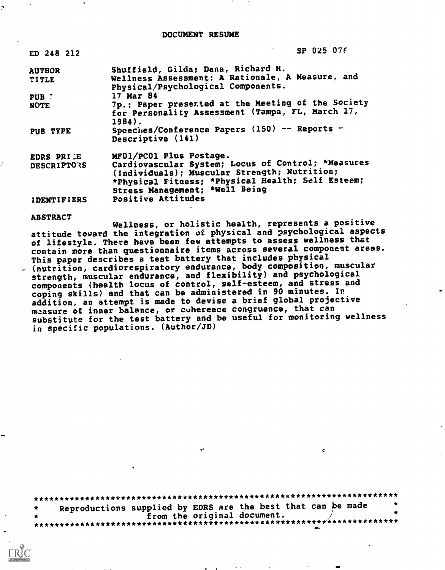DOCUMENT RESUME

| ED 248 212         | SP 025 076                                                                                                                                                                                |
|--------------------|-------------------------------------------------------------------------------------------------------------------------------------------------------------------------------------------|
| <b>AUTHOR</b>      | Shuffield, Gilda; Dana, Richard H.                                                                                                                                                        |
| <b>TITLE</b>       | Wellness Assessment: A Rationale, A Measure, and<br>Physical/Psychological Components.                                                                                                    |
| PUB !              | 17 Mar 84                                                                                                                                                                                 |
| <b>NOTE</b>        | 7p.; Paper presented at the Meeting of the Society<br>for Personality Assessment (Tampa, FL, March 17,<br>$1984$ .                                                                        |
| PUB TYPE           | Speeches/Conference Papers (150) -- Reports -<br>Descriptive (141)                                                                                                                        |
| EDRS PRILE         | MF01/PC01 Plus Postage.                                                                                                                                                                   |
| DESCRIPTORS        | Cardiovascular System; Locus of Control; *Measures<br>(Individuals); Muscular Strength; Nutrition;<br>*Physical Fitness; *Physical Health; Self Esteem;<br>Stress Management; *Well Being |
| <b>IDENTIFIERS</b> | Positive Attitudes                                                                                                                                                                        |

#### **ABSTRACT**

Wellness, or holistic health, represents a positive attitude toward the integration of physical and psychological aspects of lifestyle. There have been few attempts to assess wellness that contain more than questionnaire items across several component areas. This paper describes a test battery that includes physical<br>(nutrition, cardiorespiratory endurance, body composition, muscular strength, muscular endurance, and flexibility) and psychological components (health locus of control, self-esteem, and stress and<br>coping skills) and that can be administered in 90 minutes. In addition, an attempt is made to devise a brief global projective measure of inner balance, or coherence congruence, that can substitute for the test battery and be useful for monitoring wellness in specific populations. (Author/JD)

Reproductions supplied by EDRS are the best that can be made from the original document. 

 $\mathbf C$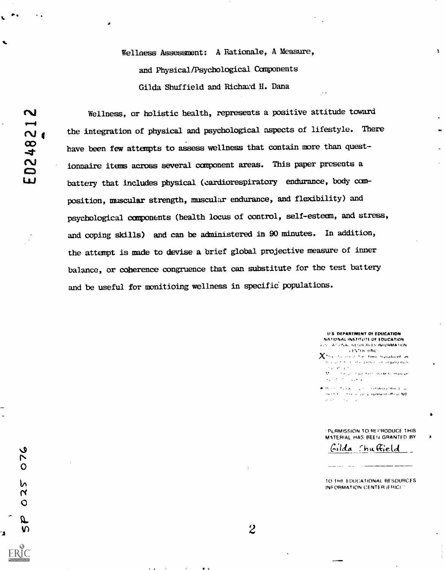Wellness Assessment: A Rationale, A Measure, and Physical/Psychological Components Gilda Shuffield and Richard H. Dana

ي

O

სა

N O

E,

Wellness, or holistic health, represents a positive attitude toward the integration of physical and psychological aspects of lifestyle. There have been few attempts to assess wellness that contain more than questionnaire items across several component areas. This paper presents a battery that includes physical (cardiorespiratory endurance, body composition, muscular strength, muscular endurance, and flexibility) and psychological components (health locus of control, self-esteem, and stress, and coping skills) and can be administered in 90 minutes. In addition, the attempt is made to devise a brief global projective measure of inner balance, or coherence congruence that can substitute for the test battery and be useful for monitioing wellness in specific populations.

> U.S. DEPARTMENT OF EDUCATION NATIONAL INSTITUTE OF EDUCATION **EDUCATIONAL RESULTERED INFORMATION LENTER HRILL**

 $\bar{\mathbf{z}}$ 

- X this is amount for them replated as i<br>The acquire the contract particular straighter thiuth is  $\gamma$  is at  $\gamma$  in (  $\mathbb{R}^{\mathsf{E}}$  , and the problem of a state of the field of expansion  $\sigma_{\rm eff}$  and  $\sigma_{\rm eff}$  and  $\sigma_{\rm eff}$
- .<br>A Process Nusia Los Sestatedor Residente<br>Concesso Socio Lopical epresión del az NR  $\label{eq:2.1} \frac{1}{2} \rho^2 \left( \frac{1}{2} \rho^2 \right) \left( \rho^2 - \frac{1}{2} \rho^2 \right) \left( \rho^2 - \frac{1}{2} \rho^2 \right)$

**PERMISSION TO REPRODUCE THIS** MATERIAL HAS BEEN GRANTED BY

Gilda Shuffield

TO THE EDUCATIONAL RESOURCES INFORMATION CENTER (ERIC)"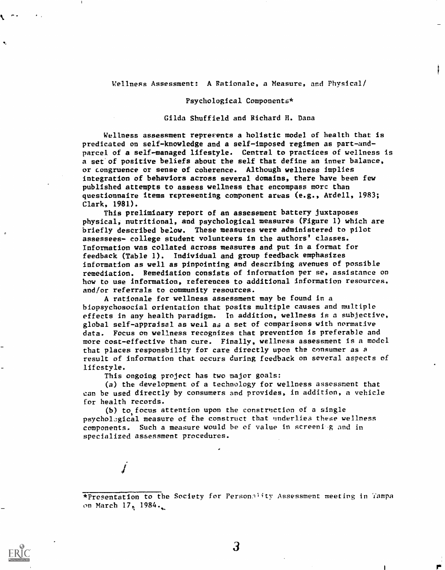### Wellness Assessment: A Rationale, a Measure, and Physical/

#### Psychological Components\*

Gilda Shuffield and Richard H. Dana

Wellness assessment reprefents a holistic model of health that is predicated on self-knowledge and a self-imposed regimen as part-andparcel of a self-managed lifestyle. Central to practices of wellness is a set'of positive beliefs about the self that define an inner balance, or congruence or sense of coherence. Although wellness implies integration of behaviors across several domains, there have been few published attempts to assess wellness that encompass more than questionnaire items representing component areas (e.g., Ardell, 1983; Clark, 1981).

This preliminary report of an assessment battery juxtaposes physical, nutritional, and psychological measures (Figure 1) which are briefly described below. These measures were administered to pilot assessees- college student volunteers in the authors' classes. Information was collated across measures and put in a format for feedback (Table 1). Individual and group feedback emphasizes information as well as pinpointing and describing avenues of possible remediation. Remediation consists of information per se, assistance on how to use information, references to additional information resources, and/or referrals to community resources.

A rationale for wellness assessment may be found in a biopsychosocial orientation that posits multiple causes and multiple effects in any health paradigm. In addition, wellness is a subjective, global self-appraisal as well as a set of comparisons with normative data. Focus on wellness recognizes that prevention is preferable and more cost-effective than cure. Finally, wellness assessment is a model that places responsbility for care directly upon the consumer as a result of information that occurs during feedback on several aspects of lifestyle.

This ongoing project has two major goals:

 $\boldsymbol{J}$  and  $\boldsymbol{J}$ 

(a) the development of a technology for wellness assessment that can be used directly by consumers and provides, in addition, a vehicle for health records.

 $(b)$  to focus attention upon the construction of a single psychological measure of the construct that underlies these wellness components. Such a measure would be of value in screeni.g and in specialized assessment procedures.

\*Presentation to the Society for Personality Assessment meeting in Tampa on March  $17, 1984.$ 



3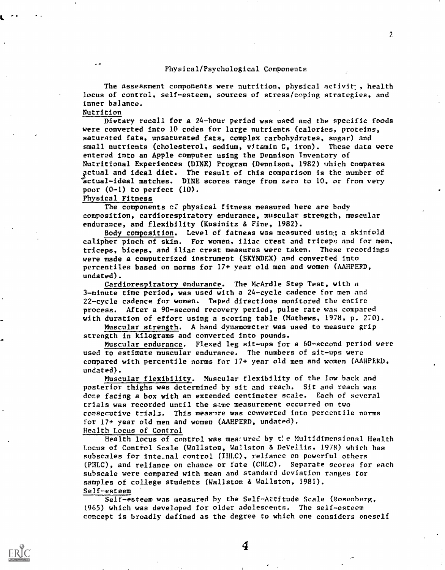### Physical/Psychological Components

 $\mathcal{P}$ 

The assessment components were nutrition, physical activit;, health locus of control, self-esteem, sources of stress/coping strategies, and inner balance.

Nutrition

Dietary recall for a 24-hour period was used and the specific foods were converted into 10 codes for large nutrients (calories, proteins, saturated fats, unsaturated fats, complex carbohydrates, sugar) and small nutrients (cholesterol, sodium, vitamin C, iron). These data were entered into an Apple computer using the Dennison Inventory of Nutritional Experiences (DINE) Program (Dennison, 1982) which compares actual and ideal diet. The result of this comparison is the number of factual-ideal matches. DINE scores range from zero to 10, or from very poor  $(0-1)$  to perfect  $(10)$ .

Physical Fitness

The components of physical fitness measured here are body composition, cardiorespiratory endurance, muscular strength, muscular endurance, and flexibility (Kusinitz & Fine, 1982).

Body composition. Level of fatness was measured using; a skinfold calipher pinch of skin. For women, iliac crest and triceps and for men, triceps, biceps, and iliac crest measures were taken. These recordings were made a computerized instrument (SKYNDEX) and converted into percentiles based on norms for 17+ year old men and women (AAHPERD, undated).

Cardiorespiratory endurance. The McArdle Step Test, with a 3-minute time period, was used with a 24-cycle cadence for men and 22-cycle cadence for women. Taped directions monitored the entire process. After a 90-second recovery period, pulse rate was compared with duration of effort using a scoring table (Mathews, 1978, p. 270).

Muscular strength. A hand dynamometer was used to measure grip strength in kilograms and converted into pounds.

Muscular endurance. Flexed leg sit-ups for a 60-second period were used to estimate muscular endurance. The numbers of sit-ups were compared with percentile norms for 17+ year old men and women (AAHPERD, undated).

Muscular flexibility. Muscular flexibility of the low back and posterior thighs was determined by sit and reach. Sit and reach was done facing a box with an extended centimeter scale. Each of several trials was recorded until the same measurement occurred on two consecutive trials. This measure was converted into percentile norms for 17+ year old men and women (AAHPERD, undated). Health Locus of Control

Health locus of control was mearured by the Multidimensional Health Locus of Control Scale (Wellston, Wellston & DeVellis, 19/8) which has subscales for inte\_nal control (IHLC), reliance on powerful others (PHLC), and reliance on chance or fate (CHIC). Separate scores for each subscale were compared with mean and standard deviation ranges for samples of college students (Wellston & Wellston, 1981). Self-esteem

Self-esteem was measured by the Self-Attitude Scale (Rosenberg, 1965) which was developed for older adolescents.. The self-esteem concept is broadly defined as the degree to which one considers oneself

4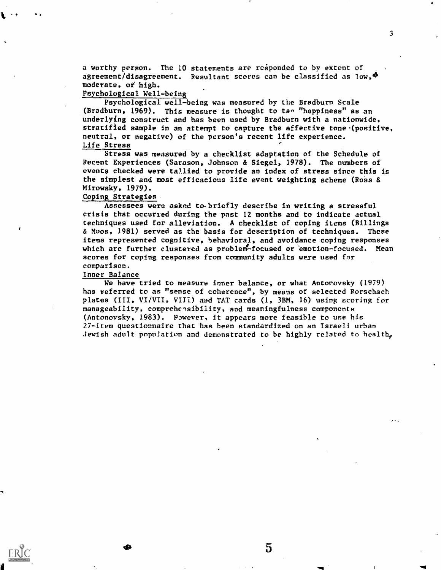a worthy person. The 10 statements are responded to by extent of agreement/disagreement. Resultant scores can be classified as  $10w$ ,  $\Phi$ moderate, of high.

# Psychological Well -being

Psychological well-being was measured by the Bradburn Scale (Bradburn, 1969). This measure is thought to tan "happiness" as an underlying construct and has been used by Bradburn with a nationwide, stratified sample in an attempt to capture the affective tone (positive, neutral, or negative) of the person's recent life experience. Life Stress

Stress was measured by a checklist adaptation of the Schedule of Recent Experiences (Sarason, Johnson & Siegel, 1978). The numbers of events checked were tallied to provide an index of stress since this is the simplest and most efficacious life event weighting scheme (Ross & Mirowsky, 1979).

## Coping Strategies

Assessees were asked to. briefly describe in writing a stressful crisis that occurred during the past 12 months and to indicate actual techniques used for alleviation. A checklist of coping items (Billings & Moos, 1981) served as the basis for description of techniques. These items represented cognitive, behavioral, and avoidance coping responses which are further clustered as problem-focused or emotion-focused. Mean scores for coping responses from community adults were used for comparison.

## Inner Balance

We have tried to measure inner balance, or what Antorovsky (1979) has referred to as "sense of coherence", by means of selected Rorschach plates (III, VI/VII, VIII) and TAT cards (1, 3BM, 16) using scoring for manageability, comprehensibility, and meaningfulness components (Antonovsky, 1983). P,wever, it appears more feasible to use his 27-item questionnaire that has been standardized on an Israeli urban Jewish adult population and demonstrated to be highly related to health,

 $5\overline{)}$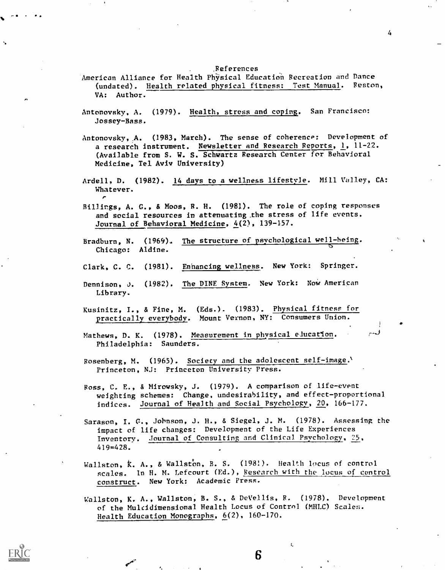,References

- American Alliance for Health Physical Education Recreation and Dance (undated). Health related physical fitness: Test Manual. Reston, VA; Author.
- Antonovsky, A. (1979). Health, stress and coping. San Francisco: Jossey-Bass.
- Antonovsky,,A. (1983, March). The sense of coherence: Development of a research instrument. Newsletter and Research Reports, 1, 11-22. (Available from S. W. S. Schwartz Research Center for Behavioral Medicine, Tel Aviv University)
- Ardell, D. (1982). 14 days to a wellness lifestyle. Mill Valley, CA: Whatever.
- Billings, A. G., & Moos, R. H. (1981). The role of coping responses and social resources in attenuating ,the stress of life events. Journal of Behavioral Medicine, 4(2), 139-157.
- Bradburn, N. (1969). The structure of psychological well-being. Chicago: Aldine.
- Clark, C. C. (1981). Enhancing wellness. New York: Springer.
- Dennison, J. (1982). The DINE System. New York: NoW American Library.
- Kusinitz, I., & Fine, M. (Eds.). (1983). Physical fitness for practically everybody. Mount Vernon, NY: Consumers Union.
- Mathews, D. K. (1978). Measurement in physical elucation. Philadelphia: Saunders.
- Rosenberg, M. (1965). Society and the adolescent self-image. Princeton, NJ: Princeton University Press.
- Ross, C. E., & Mirowsky, J. (1979). A comparison of life-event weighting schemes: Change, undesirability, and effect-proportional indices. Journal of Health and Social Psychology, 20, 166-177.
- Sarason, I. C., Johnson, J. H., & Siegel, J. M. (1978). Assessing the impact of life changes: Development of the Life Experiences Inventory. Journal of Consulting and Clinical Psychology, 25, 419=428.
- Wallston, K. A., & Wallston, B. S. (1981). Health locus of control scales. In H. M. Lefcourt (Ed.), Research with the locus of control construct. New York: Academic Press.
- Wallston, K. A., Wallston, B. S., & DeVellis, R. (1978). Development of the Multidimensional Health Locus of Control (MHLC) Scales. Health Education Monographs, 6(2), 160-170.

6

 $\mathfrak{t}$ .